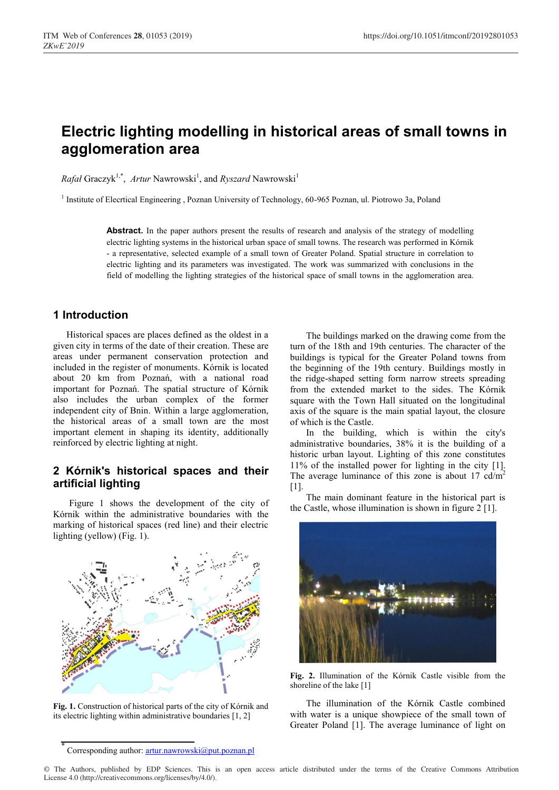# **Electric lighting modelling in historical areas of small towns in agglomeration area**

*Rafał* Graczyk<sup>1,\*</sup>, Artur Nawrowski<sup>1</sup>, and *Ryszard* Nawrowski<sup>1</sup>

<sup>1</sup> Institute of Elecrtical Engineering , Poznan University of Technology, 60-965 Poznan, ul. Piotrowo 3a, Poland

Abstract. In the paper authors present the results of research and analysis of the strategy of modelling electric lighting systems in the historical urban space of small towns. The research was performed in Kórnik - a representative, selected example of a small town of Greater Poland. Spatial structure in correlation to electric lighting and its parameters was investigated. The work was summarized with conclusions in the field of modelling the lighting strategies of the historical space of small towns in the agglomeration area.

## **1 Introduction**

Historical spaces are places defined as the oldest in a given city in terms of the date of their creation. These are areas under permanent conservation protection and included in the register of monuments. Kórnik is located about 20 km from Poznań, with a national road important for Poznań. The spatial structure of Kórnik also includes the urban complex of the former independent city of Bnin. Within a large agglomeration, the historical areas of a small town are the most important element in shaping its identity, additionally reinforced by electric lighting at night.

# **2 Kórnik's historical spaces and their artificial lighting**

Figure 1 shows the development of the city of Kórnik within the administrative boundaries with the marking of historical spaces (red line) and their electric lighting (yellow) (Fig. 1).



**Fig. 1.** Construction of historical parts of the city of Kórnik and its electric lighting within administrative boundaries [1, 2]

The buildings marked on the drawing come from the turn of the 18th and 19th centuries. The character of the buildings is typical for the Greater Poland towns from the beginning of the 19th century. Buildings mostly in the ridge-shaped setting form narrow streets spreading from the extended market to the sides. The Kórnik square with the Town Hall situated on the longitudinal axis of the square is the main spatial layout, the closure of which is the Castle.

In the building, which is within the city's administrative boundaries, 38% it is the building of a historic urban layout. Lighting of this zone constitutes 11% of the installed power for lighting in the city [1]. The average luminance of this zone is about 17  $\text{cd/m}^2$ [1].

The main dominant feature in the historical part is the Castle, whose illumination is shown in figure 2 [1].



**Fig. 2.** Illumination of the Kórnik Castle visible from the shoreline of the lake [1]

The illumination of the Kórnik Castle combined with water is a unique showpiece of the small town of Greater Poland [1]. The average luminance of light on

Corresponding author: artur.nawrowski@put.poznan.pl

<sup>©</sup> The Authors, published by EDP Sciences. This is an open access article distributed under the terms of the Creative Commons Attribution License 4.0 (http://creativecommons.org/licenses/by/4.0/).